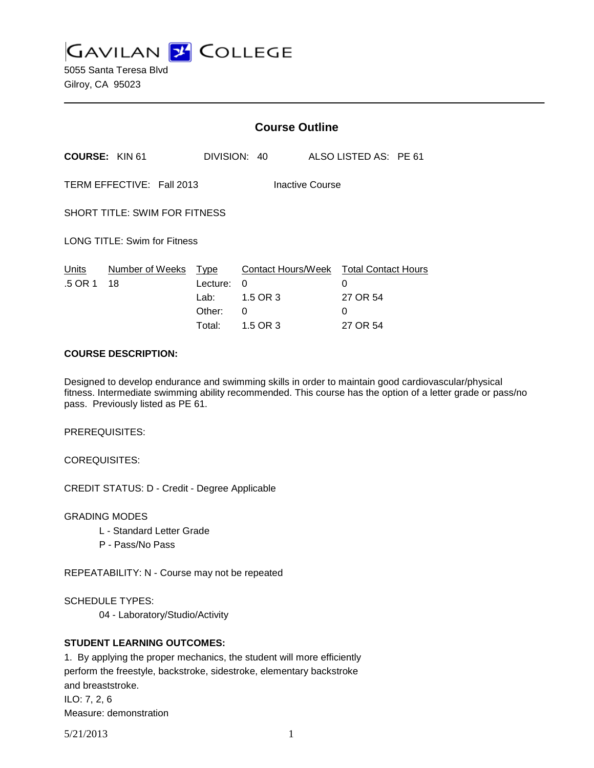**GAVILAN 2 COLLEGE** 

5055 Santa Teresa Blvd Gilroy, CA 95023

|                                      |                           | <b>Course Outline</b>                        |                                                      |  |                                                              |  |  |
|--------------------------------------|---------------------------|----------------------------------------------|------------------------------------------------------|--|--------------------------------------------------------------|--|--|
| <b>COURSE: KIN 61</b>                |                           | DIVISION: 40                                 |                                                      |  | ALSO LISTED AS: PE 61                                        |  |  |
|                                      | TERM EFFECTIVE: Fall 2013 |                                              | Inactive Course                                      |  |                                                              |  |  |
| <b>SHORT TITLE: SWIM FOR FITNESS</b> |                           |                                              |                                                      |  |                                                              |  |  |
| <b>LONG TITLE: Swim for Fitness</b>  |                           |                                              |                                                      |  |                                                              |  |  |
| Units<br>.5 OR 1                     | Number of Weeks<br>18     | Type<br>Lecture:<br>Lab:<br>Other:<br>Total: | Contact Hours/Week<br>0<br>1.5 OR 3<br>0<br>1.5 OR 3 |  | <b>Total Contact Hours</b><br>0<br>27 OR 54<br>0<br>27 OR 54 |  |  |

#### **COURSE DESCRIPTION:**

Designed to develop endurance and swimming skills in order to maintain good cardiovascular/physical fitness. Intermediate swimming ability recommended. This course has the option of a letter grade or pass/no pass. Previously listed as PE 61.

PREREQUISITES:

COREQUISITES:

CREDIT STATUS: D - Credit - Degree Applicable

GRADING MODES

- L Standard Letter Grade
- P Pass/No Pass

REPEATABILITY: N - Course may not be repeated

SCHEDULE TYPES:

04 - Laboratory/Studio/Activity

## **STUDENT LEARNING OUTCOMES:**

1. By applying the proper mechanics, the student will more efficiently perform the freestyle, backstroke, sidestroke, elementary backstroke and breaststroke. ILO: 7, 2, 6 Measure: demonstration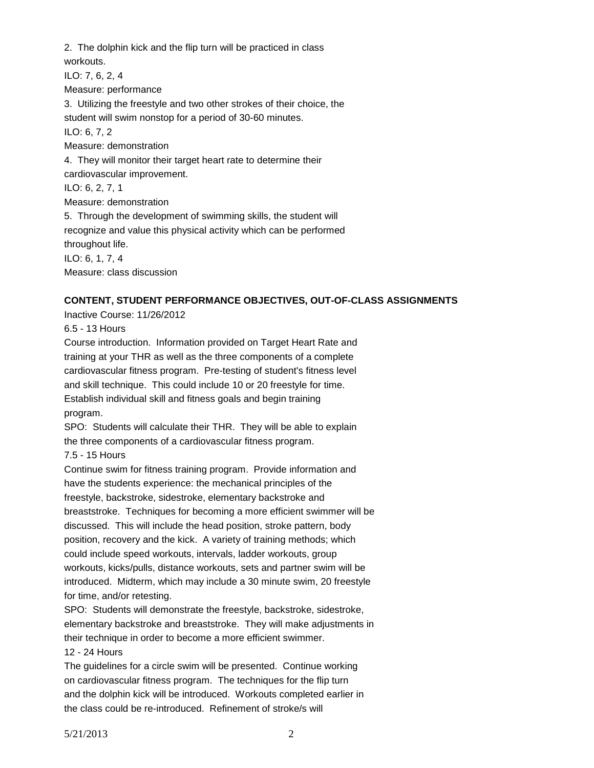2. The dolphin kick and the flip turn will be practiced in class workouts. ILO: 7, 6, 2, 4 Measure: performance 3. Utilizing the freestyle and two other strokes of their choice, the student will swim nonstop for a period of 30-60 minutes. ILO: 6, 7, 2 Measure: demonstration 4. They will monitor their target heart rate to determine their cardiovascular improvement. ILO: 6, 2, 7, 1 Measure: demonstration 5. Through the development of swimming skills, the student will recognize and value this physical activity which can be performed throughout life. ILO: 6, 1, 7, 4 Measure: class discussion

# **CONTENT, STUDENT PERFORMANCE OBJECTIVES, OUT-OF-CLASS ASSIGNMENTS**

Inactive Course: 11/26/2012

6.5 - 13 Hours

Course introduction. Information provided on Target Heart Rate and training at your THR as well as the three components of a complete cardiovascular fitness program. Pre-testing of student's fitness level and skill technique. This could include 10 or 20 freestyle for time. Establish individual skill and fitness goals and begin training program.

SPO: Students will calculate their THR. They will be able to explain the three components of a cardiovascular fitness program.

7.5 - 15 Hours

Continue swim for fitness training program. Provide information and have the students experience: the mechanical principles of the freestyle, backstroke, sidestroke, elementary backstroke and breaststroke. Techniques for becoming a more efficient swimmer will be discussed. This will include the head position, stroke pattern, body position, recovery and the kick. A variety of training methods; which could include speed workouts, intervals, ladder workouts, group workouts, kicks/pulls, distance workouts, sets and partner swim will be introduced. Midterm, which may include a 30 minute swim, 20 freestyle for time, and/or retesting.

SPO: Students will demonstrate the freestyle, backstroke, sidestroke, elementary backstroke and breaststroke. They will make adjustments in their technique in order to become a more efficient swimmer. 12 - 24 Hours

The guidelines for a circle swim will be presented. Continue working on cardiovascular fitness program. The techniques for the flip turn and the dolphin kick will be introduced. Workouts completed earlier in the class could be re-introduced. Refinement of stroke/s will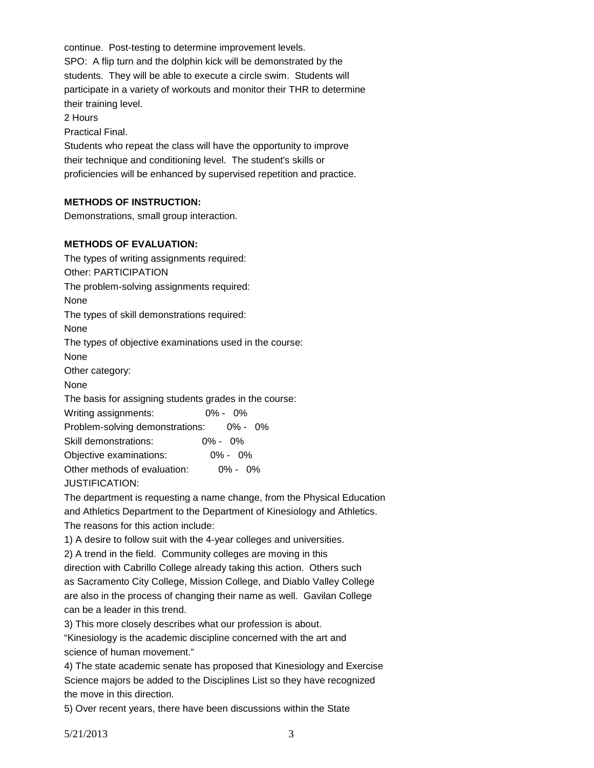continue. Post-testing to determine improvement levels. SPO: A flip turn and the dolphin kick will be demonstrated by the students. They will be able to execute a circle swim. Students will participate in a variety of workouts and monitor their THR to determine their training level.

2 Hours

Practical Final.

Students who repeat the class will have the opportunity to improve their technique and conditioning level. The student's skills or proficiencies will be enhanced by supervised repetition and practice.

## **METHODS OF INSTRUCTION:**

Demonstrations, small group interaction.

## **METHODS OF EVALUATION:**

The types of writing assignments required: Other: PARTICIPATION

The problem-solving assignments required:

None

The types of skill demonstrations required:

None

The types of objective examinations used in the course:

None

Other category:

None

The basis for assigning students grades in the course:

| Writing assignments:            |             | $0\% - 0\%$ |  |
|---------------------------------|-------------|-------------|--|
| Problem-solving demonstrations: |             | 0% - 0%     |  |
| Skill demonstrations:           | $0\% - 0\%$ |             |  |
| Objective examinations:         |             | $0\% - 0\%$ |  |
| Other methods of evaluation:    |             | $0\% - 0\%$ |  |
| <b>JUSTIFICATION:</b>           |             |             |  |

The department is requesting a name change, from the Physical Education and Athletics Department to the Department of Kinesiology and Athletics. The reasons for this action include:

1) A desire to follow suit with the 4-year colleges and universities.

2) A trend in the field. Community colleges are moving in this

direction with Cabrillo College already taking this action. Others such as Sacramento City College, Mission College, and Diablo Valley College are also in the process of changing their name as well. Gavilan College can be a leader in this trend.

3) This more closely describes what our profession is about.

"Kinesiology is the academic discipline concerned with the art and science of human movement."

4) The state academic senate has proposed that Kinesiology and Exercise Science majors be added to the Disciplines List so they have recognized the move in this direction.

5) Over recent years, there have been discussions within the State

5/21/2013 3